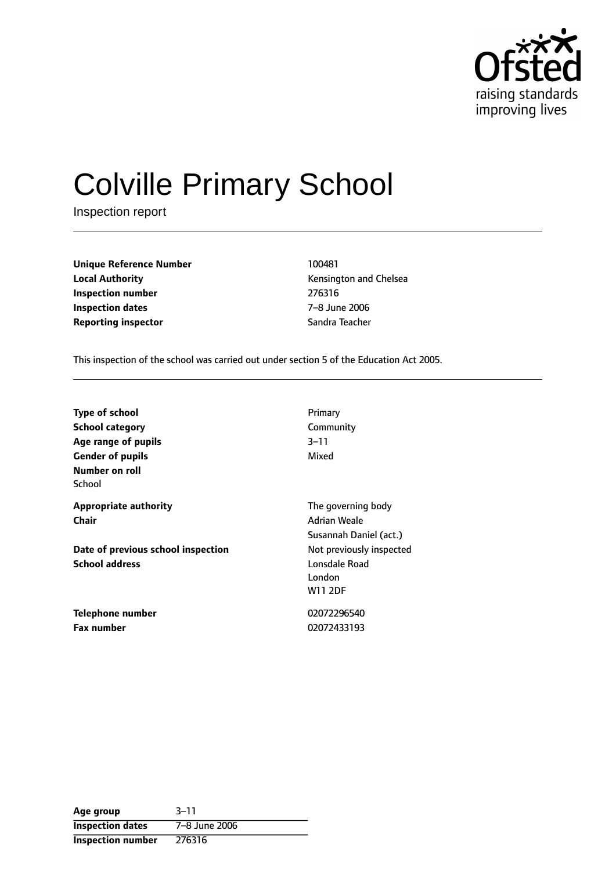

# Colville Primary School

Inspection report

**Unique Reference Number** 100481 **Local Authority Construction Chelsea Kensington and Chelsea Inspection number** 276316 **Inspection dates** 7-8 June 2006 **Reporting inspector** Sandra Teacher

This inspection of the school was carried out under section 5 of the Education Act 2005.

| <b>Type of school</b>              | Primary                  |
|------------------------------------|--------------------------|
| <b>School category</b>             | Community                |
| Age range of pupils                | $3 - 11$                 |
| <b>Gender of pupils</b>            | Mixed                    |
| Number on roll                     |                          |
| School                             |                          |
| <b>Appropriate authority</b>       | The governing body       |
| Chair                              | Adrian Weale             |
|                                    | Susannah Daniel (act.)   |
| Date of previous school inspection | Not previously inspected |
| <b>School address</b>              | Lonsdale Road            |
|                                    | London                   |
|                                    | <b>W11 2DF</b>           |
| Telephone number                   | 02072296540              |
| Fax number                         | 02072433193              |

| Age group                | $3 - 11$      |
|--------------------------|---------------|
| <b>Inspection dates</b>  | 7-8 June 2006 |
| <b>Inspection number</b> | 276316        |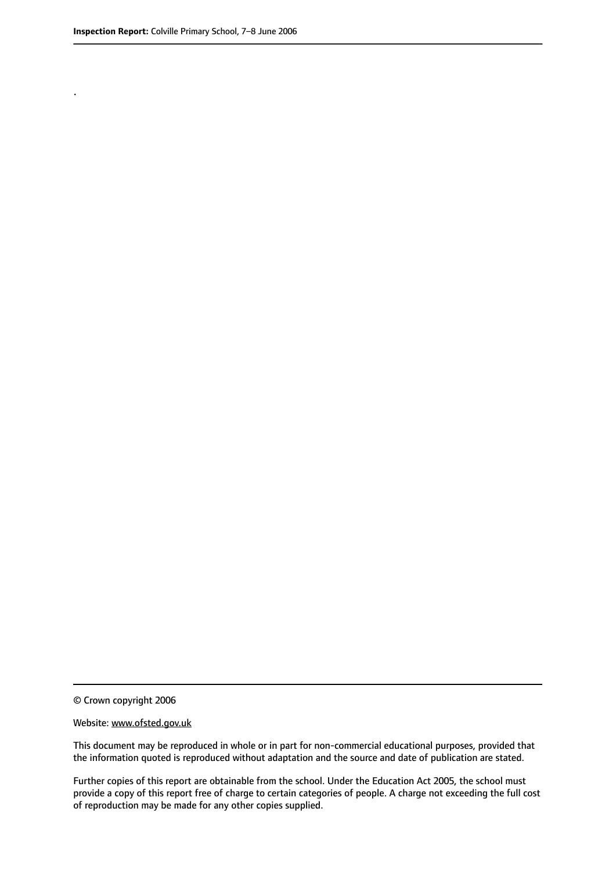.

© Crown copyright 2006

#### Website: www.ofsted.gov.uk

This document may be reproduced in whole or in part for non-commercial educational purposes, provided that the information quoted is reproduced without adaptation and the source and date of publication are stated.

Further copies of this report are obtainable from the school. Under the Education Act 2005, the school must provide a copy of this report free of charge to certain categories of people. A charge not exceeding the full cost of reproduction may be made for any other copies supplied.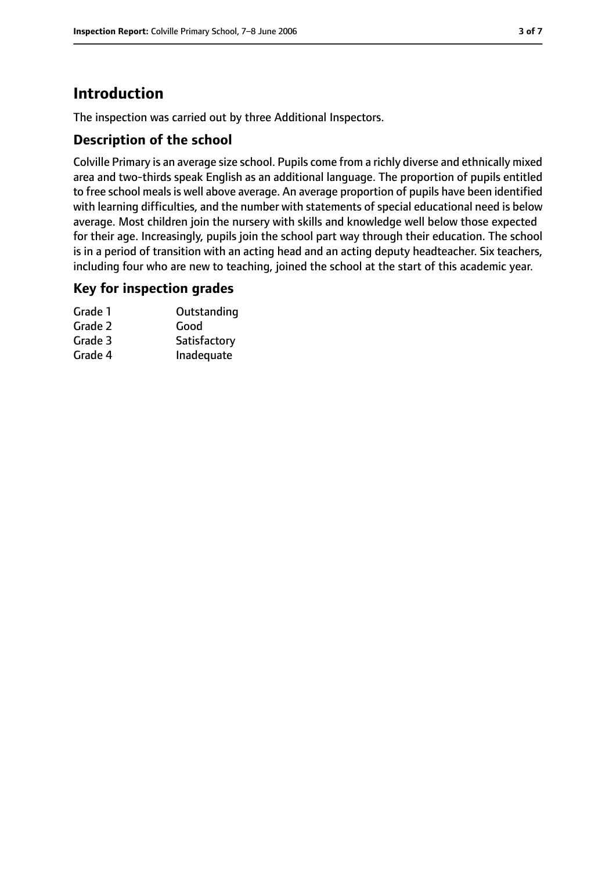# **Introduction**

The inspection was carried out by three Additional Inspectors.

### **Description of the school**

Colville Primary is an average size school. Pupils come from a richly diverse and ethnically mixed area and two-thirds speak English as an additional language. The proportion of pupils entitled to free school meals is well above average. An average proportion of pupils have been identified with learning difficulties, and the number with statements of special educational need is below average. Most children join the nursery with skills and knowledge well below those expected for their age. Increasingly, pupils join the school part way through their education. The school is in a period of transition with an acting head and an acting deputy headteacher. Six teachers, including four who are new to teaching, joined the school at the start of this academic year.

#### **Key for inspection grades**

| Grade 1 | Outstanding  |
|---------|--------------|
| Grade 2 | Good         |
| Grade 3 | Satisfactory |
| Grade 4 | Inadequate   |
|         |              |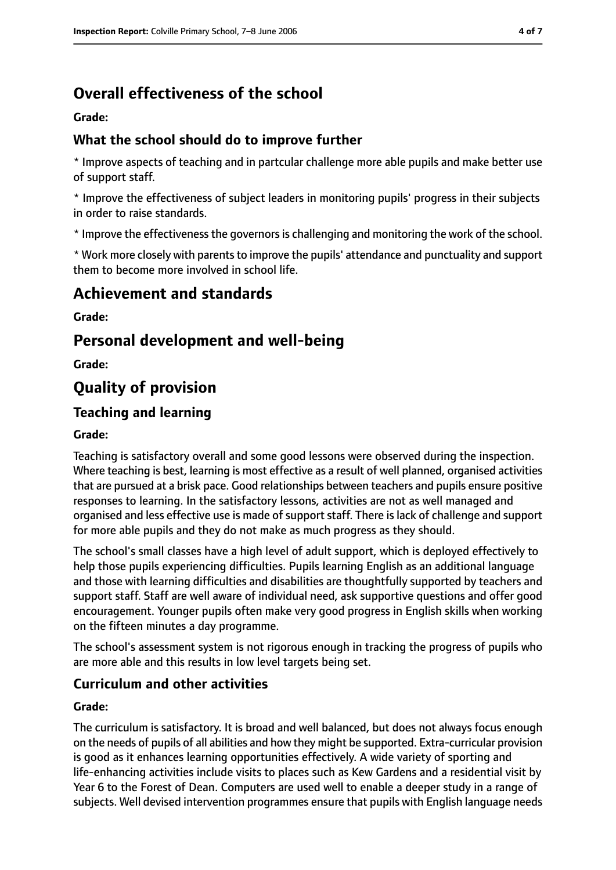# **Overall effectiveness of the school**

**Grade:**

### **What the school should do to improve further**

\* Improve aspects of teaching and in partcular challenge more able pupils and make better use of support staff.

\* Improve the effectiveness of subject leaders in monitoring pupils' progress in their subjects in order to raise standards.

\* Improve the effectivenessthe governorsis challenging and monitoring the work of the school.

\* Work more closely with parents to improve the pupils' attendance and punctuality and support them to become more involved in school life.

## **Achievement and standards**

**Grade:**

## **Personal development and well-being**

**Grade:**

# **Quality of provision**

## **Teaching and learning**

#### **Grade:**

Teaching is satisfactory overall and some good lessons were observed during the inspection. Where teaching is best, learning is most effective as a result of well planned, organised activities that are pursued at a brisk pace. Good relationships between teachers and pupils ensure positive responses to learning. In the satisfactory lessons, activities are not as well managed and organised and less effective use is made of support staff. There is lack of challenge and support for more able pupils and they do not make as much progress as they should.

The school's small classes have a high level of adult support, which is deployed effectively to help those pupils experiencing difficulties. Pupils learning English as an additional language and those with learning difficulties and disabilities are thoughtfully supported by teachers and support staff. Staff are well aware of individual need, ask supportive questions and offer good encouragement. Younger pupils often make very good progress in English skills when working on the fifteen minutes a day programme.

The school's assessment system is not rigorous enough in tracking the progress of pupils who are more able and this results in low level targets being set.

#### **Curriculum and other activities**

#### **Grade:**

The curriculum is satisfactory. It is broad and well balanced, but does not always focus enough on the needs of pupils of all abilities and how they might be supported. Extra-curricular provision is good as it enhances learning opportunities effectively. A wide variety of sporting and life-enhancing activities include visits to places such as Kew Gardens and a residential visit by Year 6 to the Forest of Dean. Computers are used well to enable a deeper study in a range of subjects. Well devised intervention programmes ensure that pupils with English language needs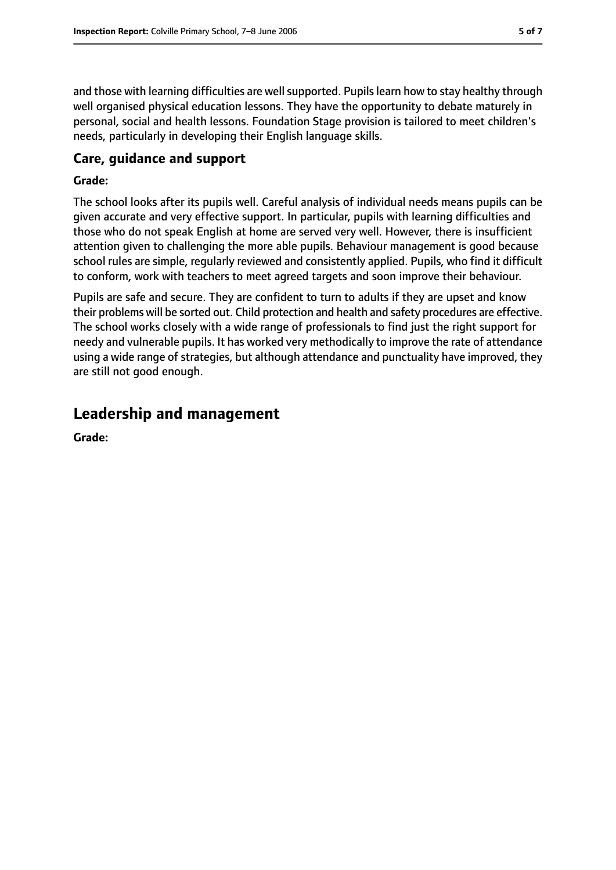and those with learning difficulties are well supported. Pupils learn how to stay healthy through well organised physical education lessons. They have the opportunity to debate maturely in personal, social and health lessons. Foundation Stage provision is tailored to meet children's needs, particularly in developing their English language skills.

#### **Care, guidance and support**

#### **Grade:**

The school looks after its pupils well. Careful analysis of individual needs means pupils can be given accurate and very effective support. In particular, pupils with learning difficulties and those who do not speak English at home are served very well. However, there is insufficient attention given to challenging the more able pupils. Behaviour management is good because school rules are simple, regularly reviewed and consistently applied. Pupils, who find it difficult to conform, work with teachers to meet agreed targets and soon improve their behaviour.

Pupils are safe and secure. They are confident to turn to adults if they are upset and know their problems will be sorted out. Child protection and health and safety procedures are effective. The school works closely with a wide range of professionals to find just the right support for needy and vulnerable pupils. It has worked very methodically to improve the rate of attendance using a wide range of strategies, but although attendance and punctuality have improved, they are still not good enough.

# **Leadership and management**

**Grade:**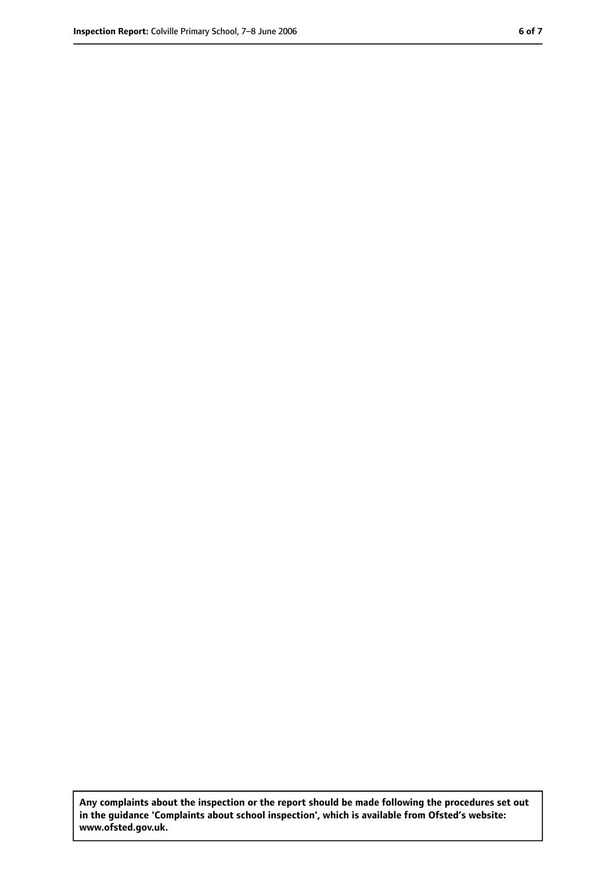**Any complaints about the inspection or the report should be made following the procedures set out in the guidance 'Complaints about school inspection', which is available from Ofsted's website: www.ofsted.gov.uk.**